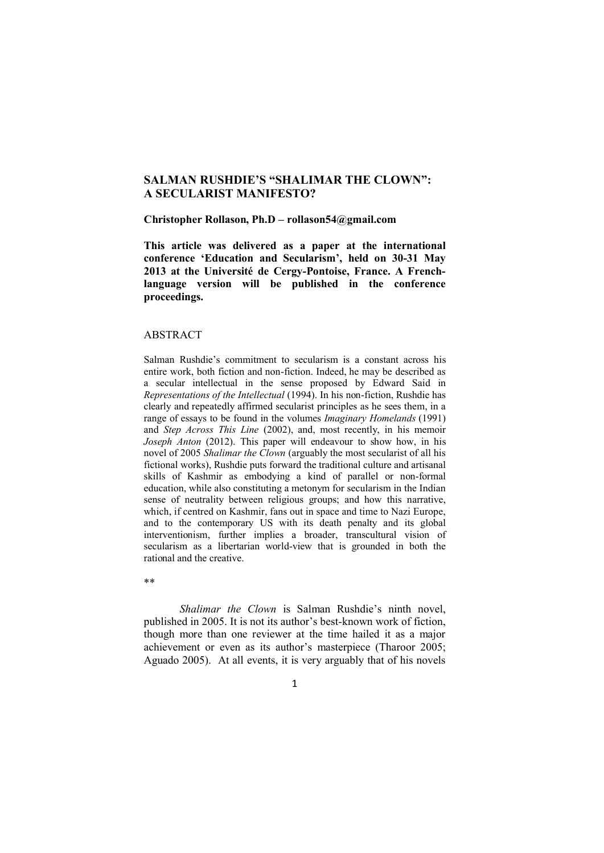## **SALMAN RUSHDIE'S "SHALIMAR THE CLOWN": A SECULARIST MANIFESTO?**

**Christopher Rollason, Ph.D – rollason54@gmail.com**

**This article was delivered as a paper at the international conference 'Education and Secularism', held on 30-31 May 2013 at the Université de Cergy-Pontoise, France. A Frenchlanguage version will be published in the conference proceedings.**

## ABSTRACT

Salman Rushdie's commitment to secularism is a constant across his entire work, both fiction and non-fiction. Indeed, he may be described as a secular intellectual in the sense proposed by Edward Said in *Representations of the Intellectual* (1994). In his non-fiction, Rushdie has clearly and repeatedly affirmed secularist principles as he sees them, in a range of essays to be found in the volumes *Imaginary Homelands* (1991) and *Step Across This Line* (2002), and, most recently, in his memoir *Joseph Anton* (2012). This paper will endeavour to show how, in his novel of 2005 *Shalimar the Clown* (arguably the most secularist of all his fictional works), Rushdie puts forward the traditional culture and artisanal skills of Kashmir as embodying a kind of parallel or non-formal education, while also constituting a metonym for secularism in the Indian sense of neutrality between religious groups; and how this narrative, which, if centred on Kashmir, fans out in space and time to Nazi Europe, and to the contemporary US with its death penalty and its global interventionism, further implies a broader, transcultural vision of secularism as a libertarian world-view that is grounded in both the rational and the creative.

\*\*

*Shalimar the Clown* is Salman Rushdie's ninth novel, published in 2005. It is not its author's best-known work of fiction, though more than one reviewer at the time hailed it as a major achievement or even as its author's masterpiece (Tharoor 2005; Aguado 2005). At all events, it is very arguably that of his novels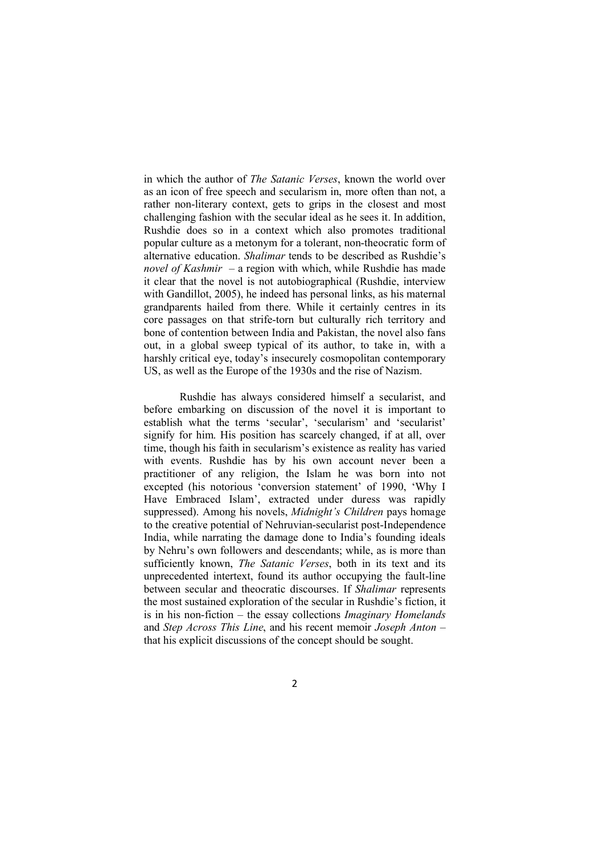in which the author of *The Satanic Verses*, known the world over as an icon of free speech and secularism in, more often than not, a rather non-literary context, gets to grips in the closest and most challenging fashion with the secular ideal as he sees it. In addition, Rushdie does so in a context which also promotes traditional popular culture as a metonym for a tolerant, non-theocratic form of alternative education. *Shalimar* tends to be described as Rushdie's *novel of Kashmir* – a region with which, while Rushdie has made it clear that the novel is not autobiographical (Rushdie, interview with Gandillot, 2005), he indeed has personal links, as his maternal grandparents hailed from there. While it certainly centres in its core passages on that strife-torn but culturally rich territory and bone of contention between India and Pakistan, the novel also fans out, in a global sweep typical of its author, to take in, with a harshly critical eye, today's insecurely cosmopolitan contemporary US, as well as the Europe of the 1930s and the rise of Nazism.

Rushdie has always considered himself a secularist, and before embarking on discussion of the novel it is important to establish what the terms 'secular', 'secularism' and 'secularist' signify for him. His position has scarcely changed, if at all, over time, though his faith in secularism's existence as reality has varied with events. Rushdie has by his own account never been a practitioner of any religion, the Islam he was born into not excepted (his notorious 'conversion statement' of 1990, 'Why I Have Embraced Islam', extracted under duress was rapidly suppressed). Among his novels, *Midnight's Children* pays homage to the creative potential of Nehruvian-secularist post-Independence India, while narrating the damage done to India's founding ideals by Nehru's own followers and descendants; while, as is more than sufficiently known, *The Satanic Verses*, both in its text and its unprecedented intertext, found its author occupying the fault-line between secular and theocratic discourses. If *Shalimar* represents the most sustained exploration of the secular in Rushdie's fiction, it is in his non-fiction – the essay collections *Imaginary Homelands* and *Step Across This Line*, and his recent memoir *Joseph Anton* – that his explicit discussions of the concept should be sought.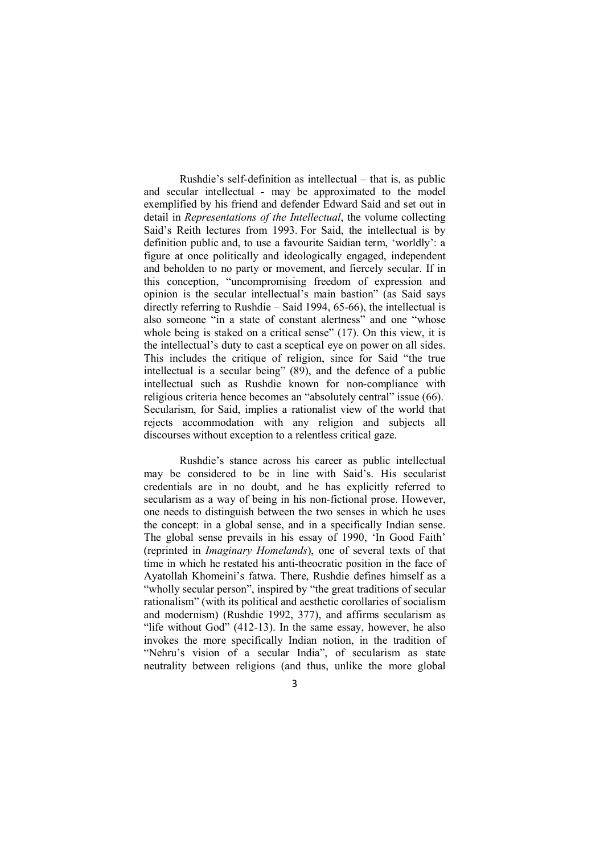Rushdie's self-definition as intellectual – that is, as public and secular intellectual - may be approximated to the model exemplified by his friend and defender Edward Said and set out in detail in *Representations of the Intellectual*, the volume collecting Said's Reith lectures from 1993. For Said, the intellectual is by definition public and, to use a favourite Saidian term, 'worldly': a figure at once politically and ideologically engaged, independent and beholden to no party or movement, and fiercely secular. If in this conception, "uncompromising freedom of expression and opinion is the secular intellectual's main bastion" (as Said says directly referring to Rushdie – Said 1994, 65-66), the intellectual is also someone "in a state of constant alertness" and one "whose whole being is staked on a critical sense" (17). On this view, it is the intellectual's duty to cast a sceptical eye on power on all sides. This includes the critique of religion, since for Said "the true intellectual is a secular being" (89), and the defence of a public intellectual such as Rushdie known for non-compliance with religious criteria hence becomes an "absolutely central" issue (66). Secularism, for Said, implies a rationalist view of the world that rejects accommodation with any religion and subjects all discourses without exception to a relentless critical gaze.

Rushdie's stance across his career as public intellectual may be considered to be in line with Said's. His secularist credentials are in no doubt, and he has explicitly referred to secularism as a way of being in his non-fictional prose. However, one needs to distinguish between the two senses in which he uses the concept: in a global sense, and in a specifically Indian sense. The global sense prevails in his essay of 1990, 'In Good Faith' (reprinted in *Imaginary Homelands*), one of several texts of that time in which he restated his anti-theocratic position in the face of Ayatollah Khomeini's fatwa. There, Rushdie defines himself as a "wholly secular person", inspired by "the great traditions of secular rationalism" (with its political and aesthetic corollaries of socialism and modernism) (Rushdie 1992, 377), and affirms secularism as "life without God" (412-13). In the same essay, however, he also invokes the more specifically Indian notion, in the tradition of "Nehru's vision of a secular India", of secularism as state neutrality between religions (and thus, unlike the more global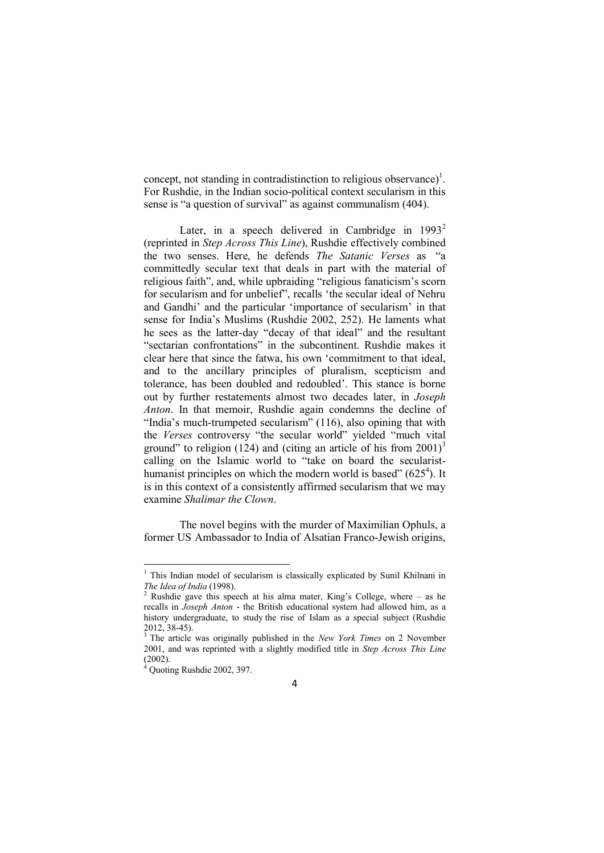concept, not standing in contradistinction to religious observance)<sup>1</sup>. For Rushdie, in the Indian socio-political context secularism in this sense is "a question of survival" as against communalism (404).

Later, in a speech delivered in Cambridge in  $1993^2$ (reprinted in *Step Across This Line*), Rushdie effectively combined the two senses. Here, he defends *The Satanic Verses* as "a committedly secular text that deals in part with the material of religious faith", and, while upbraiding "religious fanaticism's scorn for secularism and for unbelief", recalls 'the secular ideal of Nehru and Gandhi' and the particular 'importance of secularism' in that sense for India's Muslims (Rushdie 2002, 252). He laments what he sees as the latter-day "decay of that ideal" and the resultant "sectarian confrontations" in the subcontinent. Rushdie makes it clear here that since the fatwa, his own 'commitment to that ideal, and to the ancillary principles of pluralism, scepticism and tolerance, has been doubled and redoubled'. This stance is borne out by further restatements almost two decades later, in *Joseph Anton*. In that memoir, Rushdie again condemns the decline of "India's much-trumpeted secularism" (116), also opining that with the *Verses* controversy "the secular world" yielded "much vital ground" to religion (124) and (citing an article of his from  $2001$ )<sup>3</sup> calling on the Islamic world to "take on board the secularisthumanist principles on which the modern world is based"  $(625<sup>4</sup>)$ . It is in this context of a consistently affirmed secularism that we may examine *Shalimar the Clown*.

The novel begins with the murder of Maximilian Ophuls, a former US Ambassador to India of Alsatian Franco-Jewish origins,

**.** 

<sup>&</sup>lt;sup>1</sup> This Indian model of secularism is classically explicated by Sunil Khilnani in *The Idea of India* (1998).

<sup>&</sup>lt;sup>2</sup> Rushdie gave this speech at his alma mater, King's College, where – as he recalls in *Joseph Anton* - the British educational system had allowed him, as a history undergraduate, to study the rise of Islam as a special subject (Rushdie 2012, 38-45).

<sup>3</sup> The article was originally published in the *New York Times* on 2 November 2001, and was reprinted with a slightly modified title in *Step Across This Line* (2002).

 $4$  Quoting Rushdie 2002, 397.

<sup>4</sup>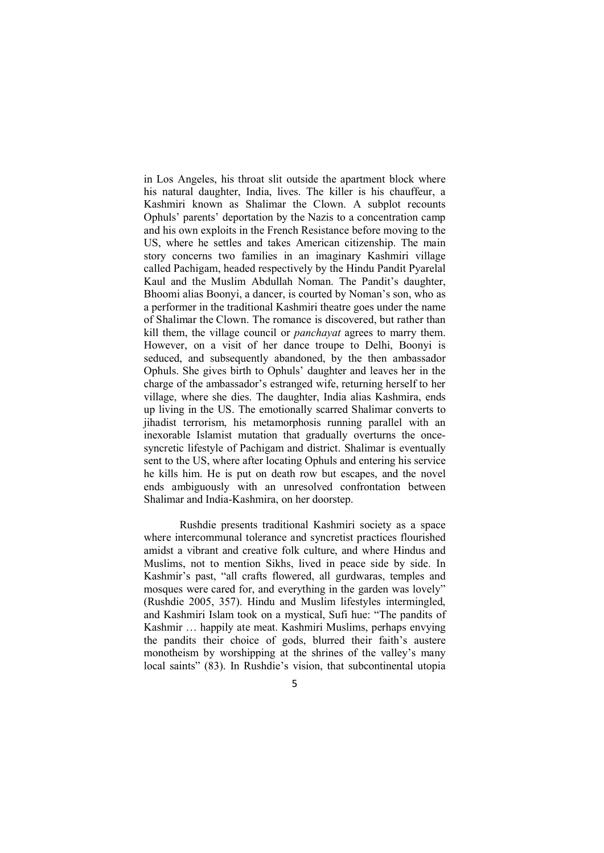in Los Angeles, his throat slit outside the apartment block where his natural daughter, India, lives. The killer is his chauffeur, a Kashmiri known as Shalimar the Clown. A subplot recounts Ophuls' parents' deportation by the Nazis to a concentration camp and his own exploits in the French Resistance before moving to the US, where he settles and takes American citizenship. The main story concerns two families in an imaginary Kashmiri village called Pachigam, headed respectively by the Hindu Pandit Pyarelal Kaul and the Muslim Abdullah Noman. The Pandit's daughter, Bhoomi alias Boonyi, a dancer, is courted by Noman's son, who as a performer in the traditional Kashmiri theatre goes under the name of Shalimar the Clown. The romance is discovered, but rather than kill them, the village council or *panchayat* agrees to marry them. However, on a visit of her dance troupe to Delhi, Boonyi is seduced, and subsequently abandoned, by the then ambassador Ophuls. She gives birth to Ophuls' daughter and leaves her in the charge of the ambassador's estranged wife, returning herself to her village, where she dies. The daughter, India alias Kashmira, ends up living in the US. The emotionally scarred Shalimar converts to jihadist terrorism, his metamorphosis running parallel with an inexorable Islamist mutation that gradually overturns the oncesyncretic lifestyle of Pachigam and district. Shalimar is eventually sent to the US, where after locating Ophuls and entering his service he kills him. He is put on death row but escapes, and the novel ends ambiguously with an unresolved confrontation between Shalimar and India-Kashmira, on her doorstep.

Rushdie presents traditional Kashmiri society as a space where intercommunal tolerance and syncretist practices flourished amidst a vibrant and creative folk culture, and where Hindus and Muslims, not to mention Sikhs, lived in peace side by side. In Kashmir's past, "all crafts flowered, all gurdwaras, temples and mosques were cared for, and everything in the garden was lovely" (Rushdie 2005, 357). Hindu and Muslim lifestyles intermingled, and Kashmiri Islam took on a mystical, Sufi hue: "The pandits of Kashmir … happily ate meat. Kashmiri Muslims, perhaps envying the pandits their choice of gods, blurred their faith's austere monotheism by worshipping at the shrines of the valley's many local saints" (83). In Rushdie's vision, that subcontinental utopia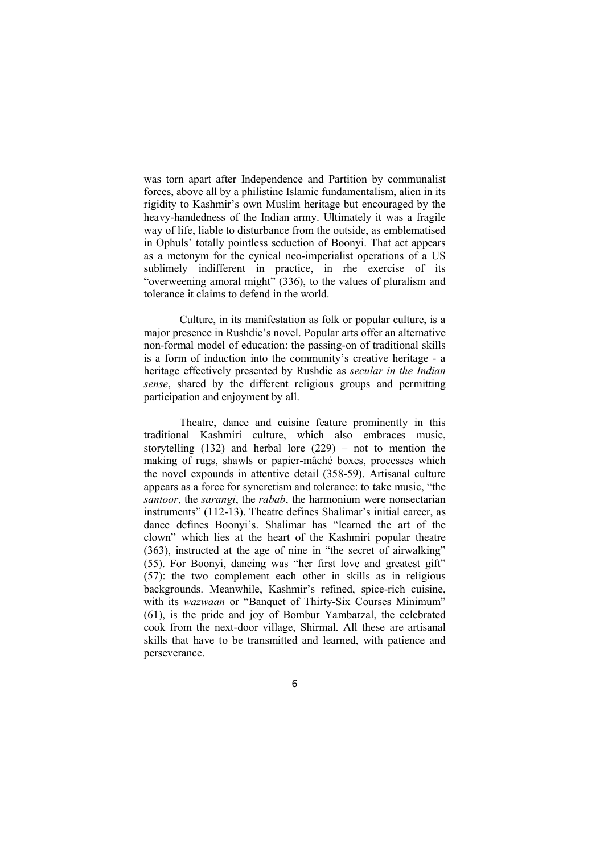was torn apart after Independence and Partition by communalist forces, above all by a philistine Islamic fundamentalism, alien in its rigidity to Kashmir's own Muslim heritage but encouraged by the heavy-handedness of the Indian army. Ultimately it was a fragile way of life, liable to disturbance from the outside, as emblematised in Ophuls' totally pointless seduction of Boonyi. That act appears as a metonym for the cynical neo-imperialist operations of a US sublimely indifferent in practice, in rhe exercise of its "overweening amoral might" (336), to the values of pluralism and tolerance it claims to defend in the world.

Culture, in its manifestation as folk or popular culture, is a major presence in Rushdie's novel. Popular arts offer an alternative non-formal model of education: the passing-on of traditional skills is a form of induction into the community's creative heritage - a heritage effectively presented by Rushdie as *secular in the Indian sense*, shared by the different religious groups and permitting participation and enjoyment by all.

Theatre, dance and cuisine feature prominently in this traditional Kashmiri culture, which also embraces music, storytelling (132) and herbal lore (229) – not to mention the making of rugs, shawls or papier-mâché boxes, processes which the novel expounds in attentive detail (358-59). Artisanal culture appears as a force for syncretism and tolerance: to take music, "the *santoor*, the *sarangi*, the *rabab*, the harmonium were nonsectarian instruments" (112-13). Theatre defines Shalimar's initial career, as dance defines Boonyi's. Shalimar has "learned the art of the clown" which lies at the heart of the Kashmiri popular theatre (363), instructed at the age of nine in "the secret of airwalking" (55). For Boonyi, dancing was "her first love and greatest gift" (57): the two complement each other in skills as in religious backgrounds. Meanwhile, Kashmir's refined, spice-rich cuisine, with its *wazwaan* or "Banquet of Thirty-Six Courses Minimum" (61), is the pride and joy of Bombur Yambarzal, the celebrated cook from the next-door village, Shirmal. All these are artisanal skills that have to be transmitted and learned, with patience and perseverance.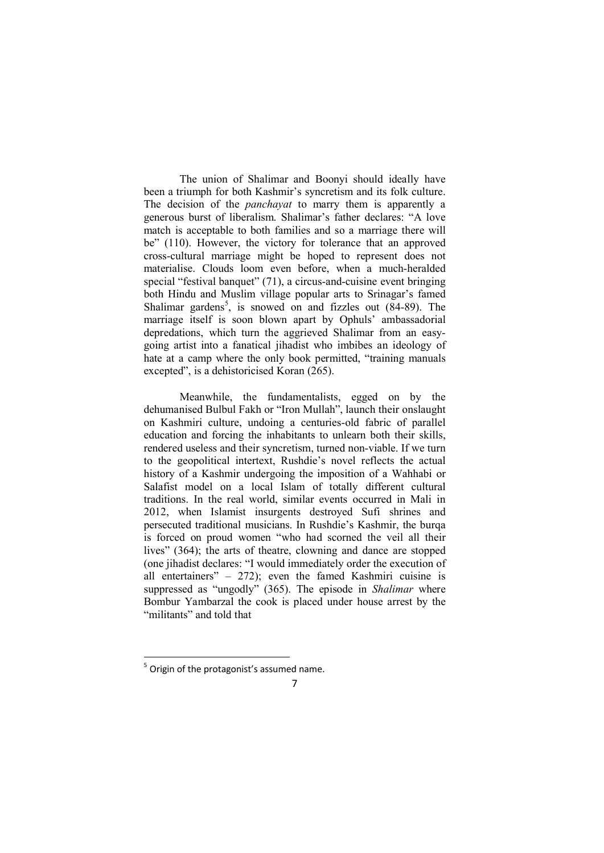The union of Shalimar and Boonyi should ideally have been a triumph for both Kashmir's syncretism and its folk culture. The decision of the *panchayat* to marry them is apparently a generous burst of liberalism. Shalimar's father declares: "A love match is acceptable to both families and so a marriage there will be" (110). However, the victory for tolerance that an approved cross-cultural marriage might be hoped to represent does not materialise. Clouds loom even before, when a much-heralded special "festival banquet" (71), a circus-and-cuisine event bringing both Hindu and Muslim village popular arts to Srinagar's famed Shalimar gardens<sup>5</sup>, is snowed on and fizzles out  $(84-89)$ . The marriage itself is soon blown apart by Ophuls' ambassadorial depredations, which turn the aggrieved Shalimar from an easygoing artist into a fanatical jihadist who imbibes an ideology of hate at a camp where the only book permitted, "training manuals" excepted", is a dehistoricised Koran (265).

Meanwhile, the fundamentalists, egged on by the dehumanised Bulbul Fakh or "Iron Mullah", launch their onslaught on Kashmiri culture, undoing a centuries-old fabric of parallel education and forcing the inhabitants to unlearn both their skills, rendered useless and their syncretism, turned non-viable. If we turn to the geopolitical intertext, Rushdie's novel reflects the actual history of a Kashmir undergoing the imposition of a Wahhabi or Salafist model on a local Islam of totally different cultural traditions. In the real world, similar events occurred in Mali in 2012, when Islamist insurgents destroyed Sufi shrines and persecuted traditional musicians. In Rushdie's Kashmir, the burqa is forced on proud women "who had scorned the veil all their lives" (364); the arts of theatre, clowning and dance are stopped (one jihadist declares: "I would immediately order the execution of all entertainers" – 272); even the famed Kashmiri cuisine is suppressed as "ungodly" (365). The episode in *Shalimar* where Bombur Yambarzal the cook is placed under house arrest by the "militants" and told that

 5 Origin of the protagonist's assumed name.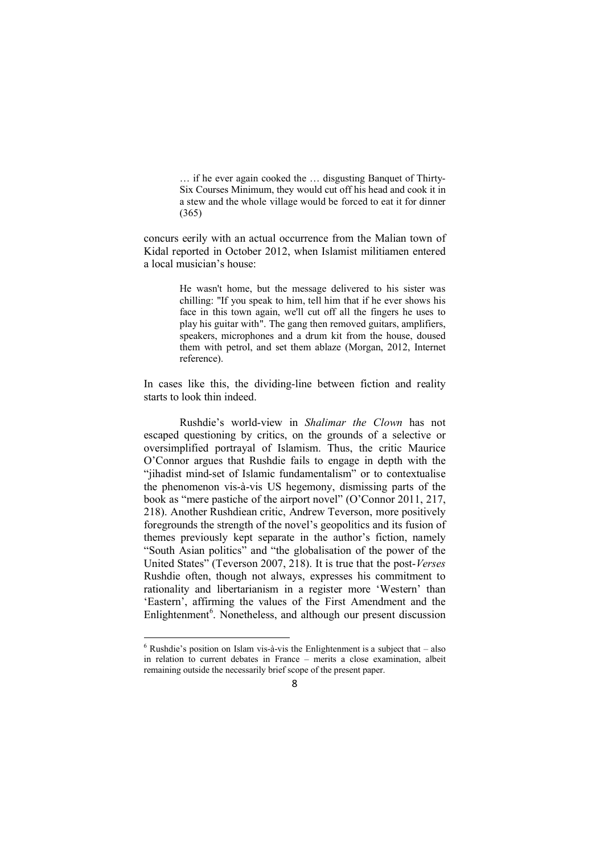… if he ever again cooked the … disgusting Banquet of Thirty-Six Courses Minimum, they would cut off his head and cook it in a stew and the whole village would be forced to eat it for dinner (365)

concurs eerily with an actual occurrence from the Malian town of Kidal reported in October 2012, when Islamist militiamen entered a local musician's house:

> He wasn't home, but the message delivered to his sister was chilling: "If you speak to him, tell him that if he ever shows his face in this town again, we'll cut off all the fingers he uses to play his guitar with". The gang then removed guitars, amplifiers, speakers, microphones and a drum kit from the house, doused them with petrol, and set them ablaze (Morgan, 2012, Internet reference).

In cases like this, the dividing-line between fiction and reality starts to look thin indeed.

Rushdie's world-view in *Shalimar the Clown* has not escaped questioning by critics, on the grounds of a selective or oversimplified portrayal of Islamism. Thus, the critic Maurice O'Connor argues that Rushdie fails to engage in depth with the "jihadist mind-set of Islamic fundamentalism" or to contextualise the phenomenon vis-à-vis US hegemony, dismissing parts of the book as "mere pastiche of the airport novel" (O'Connor 2011, 217, 218). Another Rushdiean critic, Andrew Teverson, more positively foregrounds the strength of the novel's geopolitics and its fusion of themes previously kept separate in the author's fiction, namely "South Asian politics" and "the globalisation of the power of the United States" (Teverson 2007, 218). It is true that the post-*Verses* Rushdie often, though not always, expresses his commitment to rationality and libertarianism in a register more 'Western' than 'Eastern', affirming the values of the First Amendment and the Enlightenment<sup>6</sup>. Nonetheless, and although our present discussion

<u>.</u>

 $6$  Rushdie's position on Islam vis-à-vis the Enlightenment is a subject that  $-$  also in relation to current debates in France – merits a close examination, albeit remaining outside the necessarily brief scope of the present paper.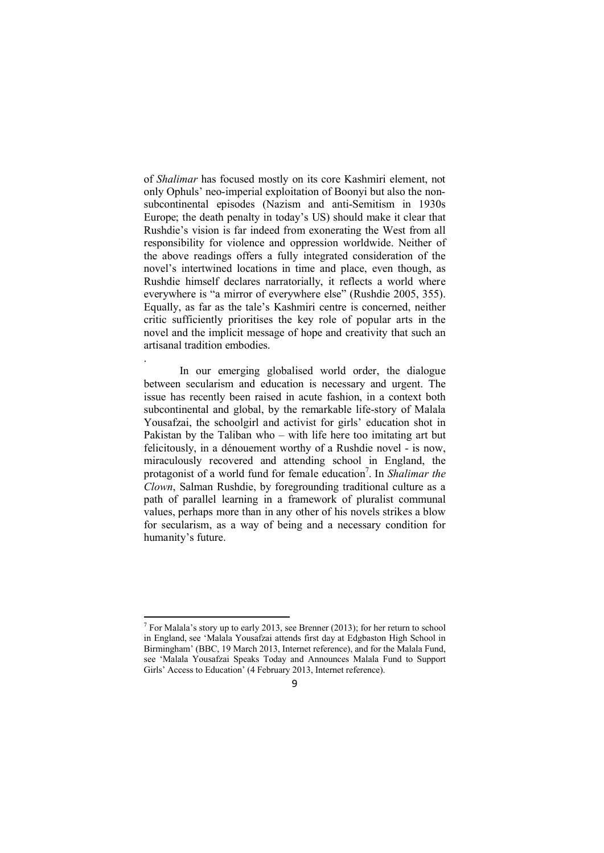of *Shalimar* has focused mostly on its core Kashmiri element, not only Ophuls' neo-imperial exploitation of Boonyi but also the nonsubcontinental episodes (Nazism and anti-Semitism in 1930s Europe; the death penalty in today's US) should make it clear that Rushdie's vision is far indeed from exonerating the West from all responsibility for violence and oppression worldwide. Neither of the above readings offers a fully integrated consideration of the novel's intertwined locations in time and place, even though, as Rushdie himself declares narratorially, it reflects a world where everywhere is "a mirror of everywhere else" (Rushdie 2005, 355). Equally, as far as the tale's Kashmiri centre is concerned, neither critic sufficiently prioritises the key role of popular arts in the novel and the implicit message of hope and creativity that such an artisanal tradition embodies.

In our emerging globalised world order, the dialogue between secularism and education is necessary and urgent. The issue has recently been raised in acute fashion, in a context both subcontinental and global, by the remarkable life-story of Malala Yousafzai, the schoolgirl and activist for girls' education shot in Pakistan by the Taliban who – with life here too imitating art but felicitously, in a dénouement worthy of a Rushdie novel - is now, miraculously recovered and attending school in England, the protagonist of a world fund for female education<sup>7</sup>. In *Shalimar the Clown*, Salman Rushdie, by foregrounding traditional culture as a path of parallel learning in a framework of pluralist communal values, perhaps more than in any other of his novels strikes a blow for secularism, as a way of being and a necessary condition for humanity's future.

.

<u>.</u>

<sup>&</sup>lt;sup>7</sup> For Malala's story up to early 2013, see Brenner (2013); for her return to school in England, see 'Malala Yousafzai attends first day at Edgbaston High School in Birmingham' (BBC, 19 March 2013, Internet reference), and for the Malala Fund, see 'Malala Yousafzai Speaks Today and Announces Malala Fund to Support Girls' Access to Education' (4 February 2013, Internet reference).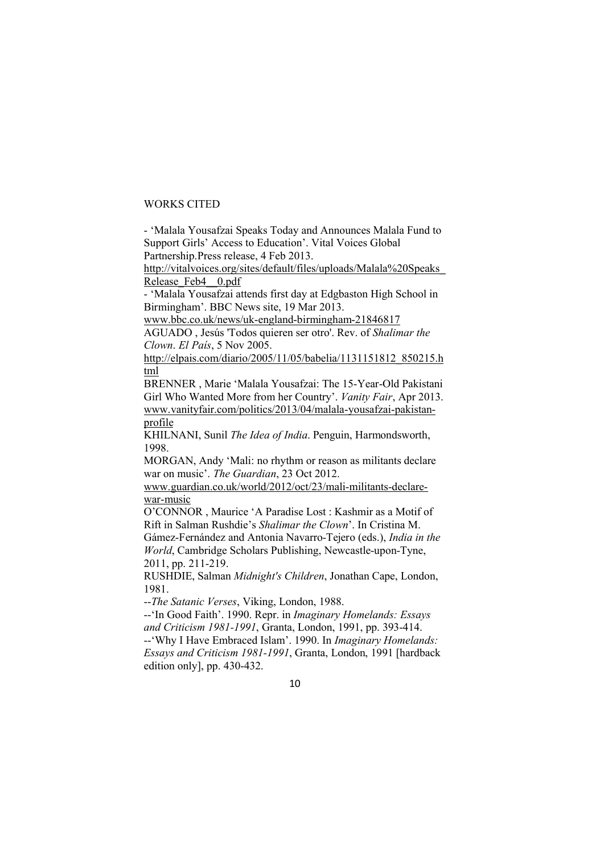## WORKS CITED

- 'Malala Yousafzai Speaks Today and Announces Malala Fund to Support Girls' Access to Education'. Vital Voices Global Partnership.Press release, 4 Feb 2013.

http://vitalvoices.org/sites/default/files/uploads/Malala%20Speaks\_ Release Feb4 0.pdf

- 'Malala Yousafzai attends first day at Edgbaston High School in Birmingham'. BBC News site, 19 Mar 2013.

www.bbc.co.uk/news/uk-england-birmingham-21846817

AGUADO , Jesús 'Todos quieren ser otro'. Rev. of *Shalimar the Clown*. *El País*, 5 Nov 2005.

http://elpais.com/diario/2005/11/05/babelia/1131151812\_850215.h tml

BRENNER , Marie 'Malala Yousafzai: The 15-Year-Old Pakistani Girl Who Wanted More from her Country'. *Vanity Fair*, Apr 2013. www.vanityfair.com/politics/2013/04/malala-yousafzai-pakistanprofile

KHILNANI, Sunil *The Idea of India*. Penguin, Harmondsworth, 1998.

MORGAN, Andy 'Mali: no rhythm or reason as militants declare war on music'. *The Guardian*, 23 Oct 2012.

www.guardian.co.uk/world/2012/oct/23/mali-militants-declarewar-music

O'CONNOR , Maurice 'A Paradise Lost : Kashmir as a Motif of Rift in Salman Rushdie's *Shalimar the Clown*'. In Cristina M.

Gámez-Fernández and Antonia Navarro-Tejero (eds.), *India in the World*, Cambridge Scholars Publishing, Newcastle-upon-Tyne, 2011, pp. 211-219.

RUSHDIE, Salman *Midnight's Children*, Jonathan Cape, London, 1981.

--*The Satanic Verses*, Viking, London, 1988.

--'In Good Faith'. 1990. Repr. in *Imaginary Homelands: Essays and Criticism 1981-1991*, Granta, London, 1991, pp. 393-414.

--'Why I Have Embraced Islam'. 1990. In *Imaginary Homelands: Essays and Criticism 1981-1991*, Granta, London, 1991 [hardback edition only], pp. 430-432.